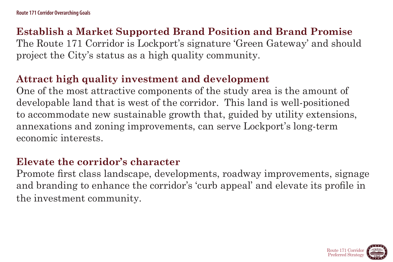# **Establish a Market Supported Brand Position and Brand Promise**

The Route 171 Corridor is Lockport's signature 'Green Gateway' and should project the City's status as a high quality community.

**Attract high quality investment and development**  One of the most attractive components of the study area is the amount of developable land that is west of the corridor. This land is well-positioned to accommodate new sustainable growth that, guided by utility extensions, annexations and zoning improvements, can serve Lockport's long-term economic interests.

# **Elevate the corridor's character**

Promote first class landscape, developments, roadway improvements, signage and branding to enhance the corridor's 'curb appeal' and elevate its profile in the investment community.



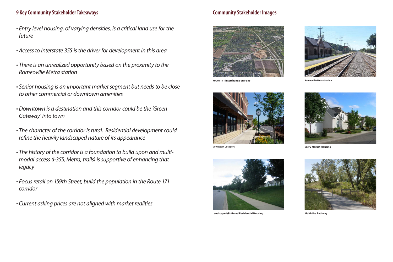- *• Entry level housing, of varying densities, is a critical land use for the future*
- *• Access to Interstate 355 is the driver for development in this area*
- *• There is an unrealized opportunity based on the proximity to the Romeoville Metra station*
- *• Senior housing is an important market segment but needs to be close to other commercial or downtown amenities*
- *• Downtown is a destination and this corridor could be the 'Green Gateway' into town*
- *• The character of the corridor is rural. Residential development could refine the heavily landscaped nature of its appearance*
- *• The history of the corridor is a foundation to build upon and multimodal access (I-355, Metra, trails) is supportive of enhancing that legacy*
- *• Focus retail on 159th Street, build the population in the Route 171 corridor*
- *• Current asking prices are not aligned with market realities*





**Route 171 interchange on I-355** 

### **9 Key Community Stakeholder Takeaways Community Stakeholder Images**





**Landscaped/Buffered Residential Housing Multi-Use Pathway**





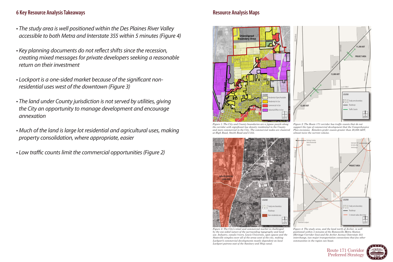### **6 Key Resource Analysis Takeaways Resource Analysis Maps Resource Analysis Maps**

- *• The study area is well positioned within the Des Plaines River Valley accessible to both Metra and Interstate 355 within 5 minutes (Figure 4)*
- *• Key planning documents do not reflect shifts since the recession, creating mixed messages for private developers seeking a reasonable return on their investment*
- *• Lockport is a one-sided market because of the significant nonresidential uses west of the downtown (Figure 3)*
- *• The land under County jurisdiction is not served by utilities, giving the City an opportunity to manage development and encourage annexation*
- *• Much of the land is large lot residential and agricultural uses, making property consolidation, where appropriate, easier*
- *• Low traffic counts limit the commercial opportunities (Figure 2)*





the corridor with significant low density residential in the County and more commercial in the City. The commercial nodes are clustered<br>and more commercial in the City. The commercial nodes are clustered at High Road, Smith Road and I-355. *Route*<br> **171**<br> **171**<br> **171**<br> **171** 

*Figure 4: The study area, and the land north of Archer, is well positioned within 5 minutes of the Romeoville Metra Station (Heritage Corridor line) and the Archer Avenue/Interstate 355 interchange, two major transportation connections that few other communities in the region can boast.*



*Figure 3: The City's retail and commercial market is challenged by the one-sided nature of the surrounding topography and land use. Industry, canals/rivers, Lewis University, open spaces and the Stateville complex cover all of the areas west of the city, making Lockport's commercial developments mostly dependent on local Lockport patrons east of the Sanitary and Ship canal.*

**DEER RU N DR SPLIT RA IL DR**



Figure 2: The Route 171 corridor has traffic counts that do not support the type of commercial development that the Comprehensive Plan envisions. Retailers prefer counts greater than 20,000 ADT, almost twice the current volume.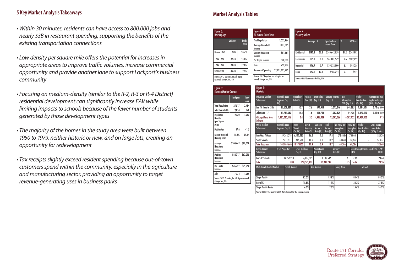- *• Within 30 minutes, residents can have access to 800,000 jobs and nearly \$3B in restaurant spending, supporting the benefits of the existing transportation connections*
- *• Low density per square mile offers the potential for increases in appropriate areas to improve traffic volumes, increase commercial opportunity and provide another lane to support Lockport's business community*
- *• Focusing on medium-density (similar to the R-2, R-3 or R-4 District) residential development can significantly increase EAV while limiting impacts to schools because of the fewer number of students generated by those development types*
- *• The majority of the homes in the study area were built between 1950 to 1979, neither historic or new, and on large lots, creating an opportunity for redevelopment*
- *• Tax receipts slightly exceed resident spending because out-of-town customers spend within the community, especially in the agriculture and manufacturing sector, providing an opportunity to target revenue-generating uses in business parks*

Figure 9: arkets

> Route 171 Corridor Preferred Strategy

### **5 Key Market Analysis Takeaways**

| <b>Markets</b>                                                       |                                               |                     |                                      |                                      |      |                                    |                                            |                                                            |                                           |           |                               |                                                  |                                                             |
|----------------------------------------------------------------------|-----------------------------------------------|---------------------|--------------------------------------|--------------------------------------|------|------------------------------------|--------------------------------------------|------------------------------------------------------------|-------------------------------------------|-----------|-------------------------------|--------------------------------------------------|-------------------------------------------------------------|
| <b>Industrial Market</b><br>Submarket                                | <b>Rentable Build-</b><br>ing Area (Sq.<br>H. |                     | <b>Availability</b><br>Rate (%)      | Vacancy<br>Rate (%)                  |      | <b>User Sales</b><br>(Sq. Ft.)     | <b>Leasing Activity</b><br>(Sq. Ft.)       |                                                            | <b>Net</b><br>Absorption<br>YTD (Sq. Ft.) |           |                               | <b>Under</b><br><b>Consturction</b><br>(Sq. Ft.) | Average Net Ask-<br>ing Lease Range<br>(S/Sq. Ft./Yr)       |
| Far SW Suburbs (14)                                                  |                                               | 90,608,887          | 10.7                                 |                                      | 7.6  | 171,919                            |                                            | 3,313,246                                                  |                                           | 649,885   |                               | 1,894,054                                        | 3.75 to 6.00                                                |
| Joliet Area (17)                                                     |                                               | 81,781,080          | 14.2                                 | 11.6                                 |      | 136,736                            |                                            | 1,383,829                                                  |                                           |           | $-54,436$                     | 1,879,593                                        | 3.25 to 4.50                                                |
| Chicago Metra Area<br>Subtotal                                       |                                               | 1,182,582,146       | 5.4                                  |                                      | 3.5  | 4,916,539                          |                                            | 15,392,566                                                 |                                           | 6,287,152 |                               | 10,937,403                                       | 5.13                                                        |
| <b>Office Market</b><br>Submarket                                    | <b>Rentable Build-</b><br>ing Area (Sq. Ft.)  |                     | <b>Direct</b><br>Vacant<br>(Sq. Ft.) | <b>Direct</b><br>Vacancy<br>Rate (%) |      | Sublease<br>Vacancy<br>Rate $(\%)$ | <b>Total</b><br><b>Vacancy</b><br>Rate (%) | Q1 2019 Net<br><b>Absorption</b><br>$\overline{(Sq. Ft.)}$ |                                           | (Sq. Ft.) | <b>2019 Net</b><br>Absorption | <b>Under</b><br><b>Construction</b><br>(Sq. Ft.) | <b>Gross Asking</b><br><b>Lease Rates</b><br>(S/Sq. Ft./Yr) |
| <b>East-West Tollway</b>                                             |                                               | 39,262,218          | 6,417,585                            |                                      | 16.3 | 1.0                                | 17.3                                       |                                                            | (73, 868)                                 |           | (73, 868)                     |                                                  | <b>S23.76</b>                                               |
| South Suburbs                                                        |                                               | 2,311,411           | 419,588                              |                                      | 18.2 | 0.1                                | 18.2                                       |                                                            | 43,633                                    |           | 43,633                        |                                                  | \$14.47                                                     |
| <b>Total Suburban</b>                                                |                                               | 102,909,660         | 18,378653                            |                                      | 17.9 | 0.9                                | 18.7                                       |                                                            | 68,586                                    |           | 68,586                        |                                                  | \$23.68                                                     |
| <b>Retail Market</b><br>Submarket                                    | # of Properties                               |                     | <b>Gross Building</b><br>(Sq. Ft.)   |                                      |      | <b>Vacant Area</b><br>(Sq. Ft.)    |                                            | Vacancy<br>Rate (%)                                        |                                           |           | <b>LOW</b>                    |                                                  | Avg Asking Lease Range (S/Sq.Ft./Yr)<br>HIGH                |
| Far S.W. Suburbs                                                     |                                               | 39,262,218          |                                      | 6,417,585                            |      |                                    | 1,135,587                                  |                                                            |                                           | 9.1       | 17.82                         |                                                  | 20.64                                                       |
| <b>Total</b>                                                         |                                               | 830                 |                                      | 138,573,491                          |      |                                    | 15,991,746                                 |                                                            |                                           | 11.5      | 16.64                         |                                                  | 20.35                                                       |
| Multi-Family Rental Market                                           |                                               | <b>Smith Avenue</b> |                                      |                                      |      | <b>New Avenue</b>                  |                                            | <b>Study Area</b>                                          |                                           |           |                               | Lockport                                         |                                                             |
| <b>Single Family</b>                                                 |                                               |                     |                                      | 87.5%                                |      |                                    | 95.9%                                      |                                                            |                                           |           | 83.4%                         |                                                  | 88.3%                                                       |
| Rental %                                                             |                                               |                     |                                      | 18.5%                                |      |                                    | 11.1%                                      |                                                            |                                           |           | 32.2%                         |                                                  | 27.8%                                                       |
| <b>Single Family Rental</b>                                          |                                               |                     |                                      | 6.0%                                 |      |                                    | 7.0%                                       |                                                            |                                           |           | 15.6%                         |                                                  | 16.2%                                                       |
| Source: CBRE's 2nd Quarter 2019 Market report for the Chicago region |                                               |                     |                                      |                                      |      |                                    |                                            |                                                            |                                           |           |                               |                                                  |                                                             |



| Figure 5:<br><b>Housing Age</b>                                        |          |       | Figure 6:<br><b>30 Minute Drive Time</b>                                 |                 |
|------------------------------------------------------------------------|----------|-------|--------------------------------------------------------------------------|-----------------|
|                                                                        | Lockport | Study | <b>Total Population</b>                                                  | 1,523,964       |
|                                                                        |          | Area  | Average Household<br>Income                                              | \$111,805       |
| Before 1950                                                            | 12.0%    | 24.7% | <b>Median Household</b><br>Income                                        | \$81,661        |
| 1950-1979                                                              | 29.5%    | 45.8% | Per Capita Income                                                        | \$40,333        |
| 1980-1999                                                              | 23.8%    | 19.6% | Jobs                                                                     | 792,734         |
| <b>Since 2000</b>                                                      | 35.3%    | 9.9%  | <b>Restaurant Spending</b>                                               | \$2,891,695,262 |
| Source: 2017 Experian, Inc. All rights<br>reserved, Alteryx, Inc., BDI |          |       | Source: 2017 Experian, Inc. All rights re-<br>served, Alteryx, Inc., BDI |                 |

| <b>Drive Time</b> |                               | Figure 7:<br><b>Property Values</b> |                                      |      |                      |      |           |
|-------------------|-------------------------------|-------------------------------------|--------------------------------------|------|----------------------|------|-----------|
| ation             | 1,523,964                     |                                     | Acreage                              | $\%$ | <b>Equalized As-</b> | $\%$ | EAV/Acre  |
| vusehold          | \$111,805                     |                                     |                                      |      | sessed Value         |      |           |
| usehold           | \$81,661                      | <b>Residential</b>                  | 2197.8                               | 30.3 | \$540,642,059        | 84.2 | \$245,992 |
| Income            | \$40,333                      | Commercial                          | 305.8                                | 4.2  | \$61,801,979         | 9.6  | \$202,099 |
|                   | 792,734                       | Industrial                          | 416.9                                | 5.7  | \$39,532,000         | 6.1  | \$93,256  |
| Spending          | \$2,891,695,262               | Farm                                | 947.1                                | 13.1 | \$486,344            | 0.1  | \$514     |
| yx, Inc., BDI     | Experian, Inc. All rights re- |                                     | Source: CMAP Community Profiles, BDI |      |                      |      |           |

### **Market Analysis Tables**

|                                               | <b>Lockport</b>    | Study<br>Area     |
|-----------------------------------------------|--------------------|-------------------|
| <b>Total Population</b>                       | 25,517             | 2,484             |
| <b>Total Households</b>                       | 9,054              | 978               |
| Population<br>Density<br>(per Square<br>Mile) | 2,230              | 1,282             |
| Median Age                                    | 37.6               | 41.5              |
| Renter Occupied<br>Housing Units              | 18.5%              | 27.8%             |
| Average<br>Household<br>Income                | \$100,642 \$89,028 |                   |
| Median<br>Household<br>Income                 |                    | \$82,717 \$67,095 |
| Per Capita<br>Income                          |                    | \$35,727 \$35,050 |
| Jobs                                          | 7,274              | 1,265             |